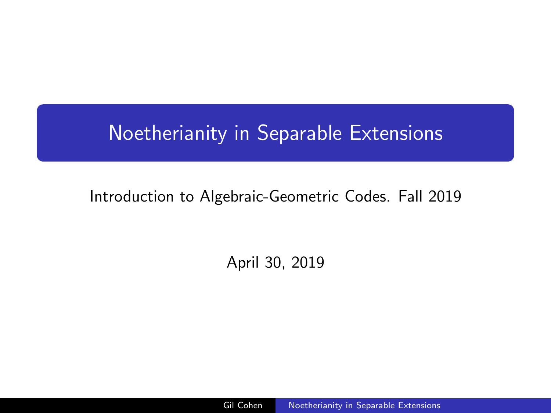# <span id="page-0-0"></span>Noetherianity in Separable Extensions

## Introduction to Algebraic-Geometric Codes. Fall 2019

April 30, 2019

Gil Cohen [Noetherianity in Separable Extensions](#page-11-0)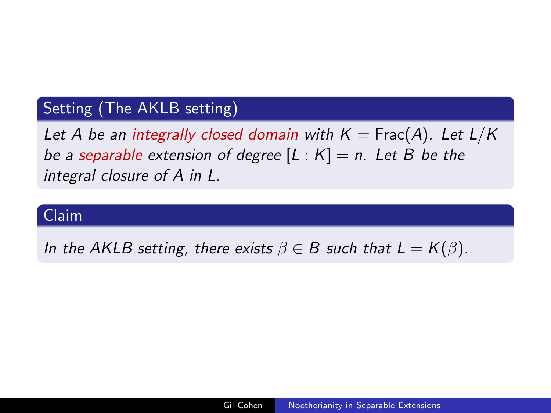## Setting (The AKLB setting)

Let A be an integrally closed domain with  $K = Frac(A)$ . Let  $L/K$ be a separable extension of degree  $[L : K] = n$ . Let B be the integral closure of A in L.

## Claim

In the AKLB setting, there exists  $\beta \in B$  such that  $L = K(\beta)$ .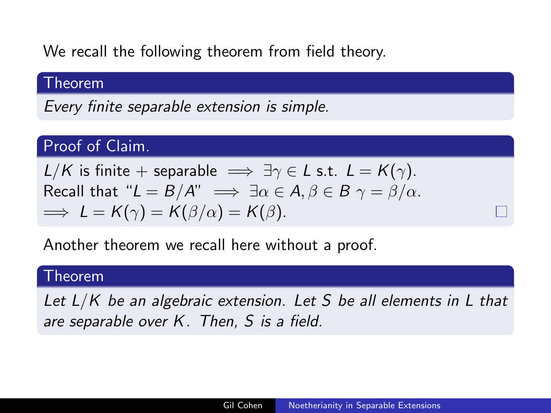We recall the following theorem from field theory.

#### Theorem

Every finite separable extension is simple.

## Proof of Claim.

 $L/K$  is finite + separable  $\implies \exists \gamma \in L$  s.t.  $L = K(\gamma)$ . Recall that " $L = B/A$ "  $\implies \exists \alpha \in A, \beta \in B \ \gamma = \beta/\alpha$ .  $\implies$   $L = K(\gamma) = K(\beta/\alpha) = K(\beta)$ .

Another theorem we recall here without a proof.

#### Theorem

Let  $L/K$  be an algebraic extension. Let S be all elements in L that are separable over K. Then, S is a field.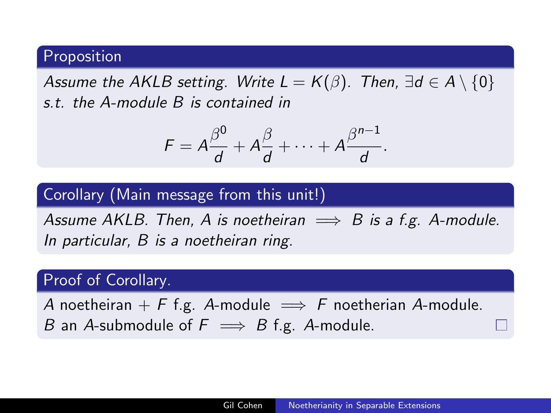#### Proposition

Assume the AKLB setting. Write  $L = K(\beta)$ . Then,  $\exists d \in A \setminus \{0\}$ s.t. the A-module B is contained in

$$
F=A\frac{\beta^0}{d}+A\frac{\beta}{d}+\cdots+A\frac{\beta^{n-1}}{d}.
$$

## Corollary (Main message from this unit!)

Assume AKLB. Then, A is noetheiran  $\implies$  B is a f.g. A-module. In particular, B is a noetheiran ring.

#### Proof of Corollary.

A noetheiran + F f.g. A-module  $\implies$  F noetherian A-module. B an A-submodule of  $F \implies B$  f.g. A-module.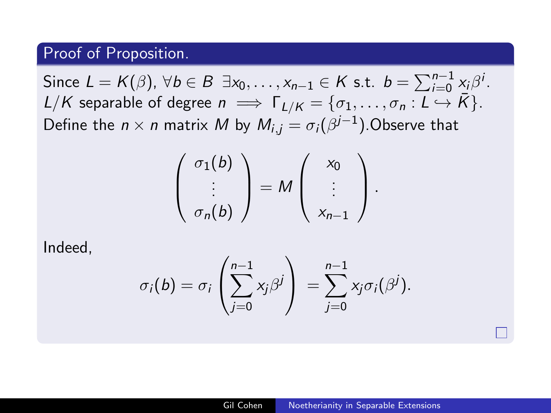#### Proof of Proposition.

Since  $L = K(\beta)$ ,  $\forall b \in B \exists x_0, \ldots, x_{n-1} \in K$  s.t.  $b = \sum_{i=0}^{n-1} x_i \beta^i$ .  $L/K$  separable of degree  $n \implies \Gamma_{L/K} = \{\sigma_1, \ldots, \sigma_n : L \hookrightarrow \overline{K}\}.$ Define the  $n\times n$  matrix  $M$  by  $M_{i,j}=\sigma_i(\beta^{j-1}).$ Observe that

$$
\left(\begin{array}{c}\n\sigma_1(b) \\
\vdots \\
\sigma_n(b)\n\end{array}\right) = M \left(\begin{array}{c}\nx_0 \\
\vdots \\
x_{n-1}\n\end{array}\right).
$$

Indeed,

$$
\sigma_i(b) = \sigma_i \left( \sum_{j=0}^{n-1} x_j \beta^j \right) = \sum_{j=0}^{n-1} x_j \sigma_i(\beta^j).
$$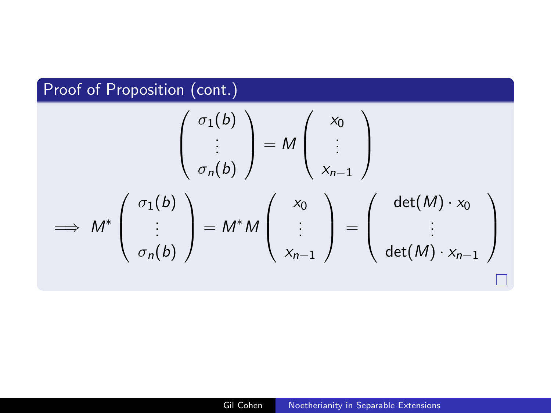## Proof of Proposition (cont.)

$$
\begin{pmatrix}\n\sigma_1(b) \\
\vdots \\
\sigma_n(b)\n\end{pmatrix} = M \begin{pmatrix}\nx_0 \\
\vdots \\
x_{n-1}\n\end{pmatrix}
$$
\n
$$
\implies M^* \begin{pmatrix}\n\sigma_1(b) \\
\vdots \\
\sigma_n(b)\n\end{pmatrix} = M^* M \begin{pmatrix}\nx_0 \\
\vdots \\
x_{n-1}\n\end{pmatrix} = \begin{pmatrix}\n\det(M) \cdot x_0 \\
\vdots \\
\det(M) \cdot x_{n-1}\n\end{pmatrix}
$$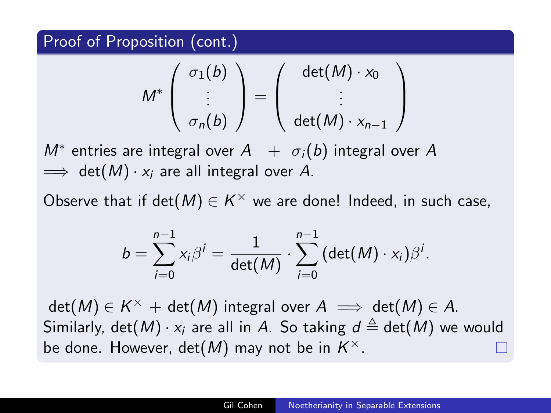Proof of Proposition (cont.)

$$
M^* \left( \begin{array}{c} \sigma_1(b) \\ \vdots \\ \sigma_n(b) \end{array} \right) = \left( \begin{array}{c} \det(M) \cdot x_0 \\ \vdots \\ \det(M) \cdot x_{n-1} \end{array} \right)
$$

 $M^*$  entries are integral over  $A$  +  $\sigma_i(b)$  integral over  $A$  $\implies$  det(M)  $\cdot x_i$  are all integral over A.

Observe that if  $\det(M) \in K^\times$  we are done! Indeed, in such case,

$$
b=\sum_{i=0}^{n-1}x_i\beta^i=\frac{1}{\det(M)}\cdot\sum_{i=0}^{n-1}(\det(M)\cdot x_i)\beta^i.
$$

 $\det(M) \in K^\times + \det(M)$  integral over  $A \implies \det(M) \in A.$ Similarly, det(M)  $\cdot x_i$  are all in A. So taking  $d \triangleq det(M)$  we would be done. However,  $\det(M)$  may not be in  $K^{\times}.$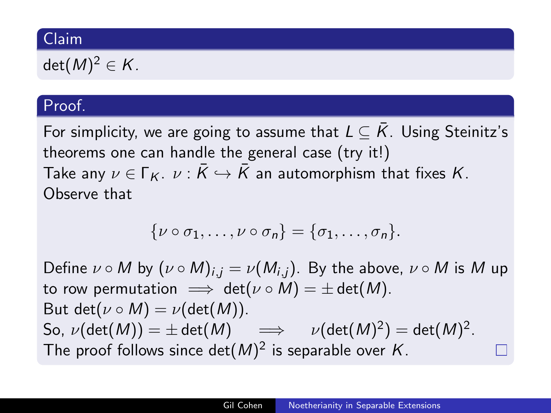## Claim

 $\det(M)^2\in\mathcal{K}.$ 

## Proof.

For simplicity, we are going to assume that  $L \subseteq \overline{K}$ . Using Steinitz's theorems one can handle the general case (try it!) Take any  $\nu \in \Gamma_K$ .  $\nu : \bar{K} \hookrightarrow \bar{K}$  an automorphism that fixes K. Observe that

$$
\{\nu\circ\sigma_1,\ldots,\nu\circ\sigma_n\}=\{\sigma_1,\ldots,\sigma_n\}.
$$

Define  $\nu \circ M$  by  $(\nu \circ M)_{i,j} = \nu(M_{i,j})$ . By the above,  $\nu \circ M$  is M up to row permutation  $\implies$  det( $\nu \circ M$ ) =  $\pm$  det(M). But det( $\nu \circ M$ ) =  $\nu$ (det(M)). So,  $\nu(\det(M))=\pm\det(M)\quad \implies \quad \nu(\det(M)^2)=\det(M)^2.$ The proof follows since det $(M)^2$  is separable over K.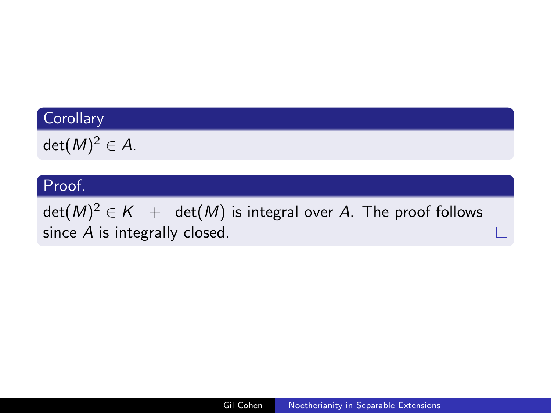## **Corollary**

 $\det(M)^2 \in A.$ 

## Proof.

 $\det(M)^2\in K^-+^-$  det $(M)$  is integral over  $A$ . The proof follows since A is integrally closed.

П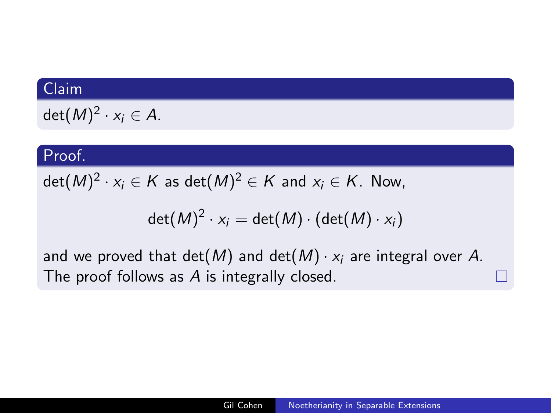## Claim

$$
\det(M)^2\cdot x_i\in A.
$$

#### Proof.

 $\det(M)^2 \cdot \mathsf{x}_i \in \mathsf{K}$  as  $\det(M)^2 \in \mathsf{K}$  and  $\mathsf{x}_i \in \mathsf{K}.$  Now,

$$
\det(M)^2 \cdot x_i = \det(M) \cdot (\det(M) \cdot x_i)
$$

and we proved that det(M) and det(M)  $\cdot x_i$  are integral over A. The proof follows as A is integrally closed.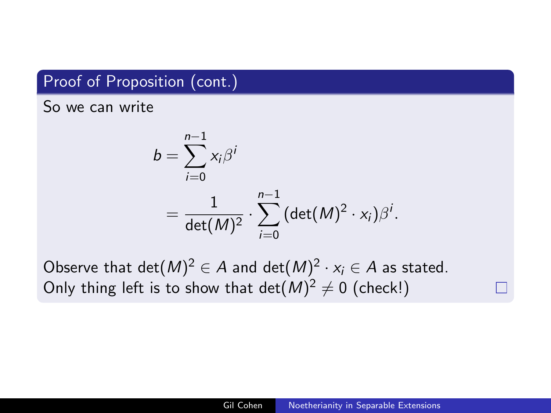## Proof of Proposition (cont.)

So we can write

$$
b = \sum_{i=0}^{n-1} x_i \beta^i
$$
  
= 
$$
\frac{1}{\det(M)^2} \cdot \sum_{i=0}^{n-1} (\det(M)^2 \cdot x_i) \beta^i.
$$

Observe that  $\det(M)^2 \in A$  and  $\det(M)^2 \cdot x_i \in A$  as stated. Only thing left is to show that  $\det(M)^2 \neq 0$  (check!)